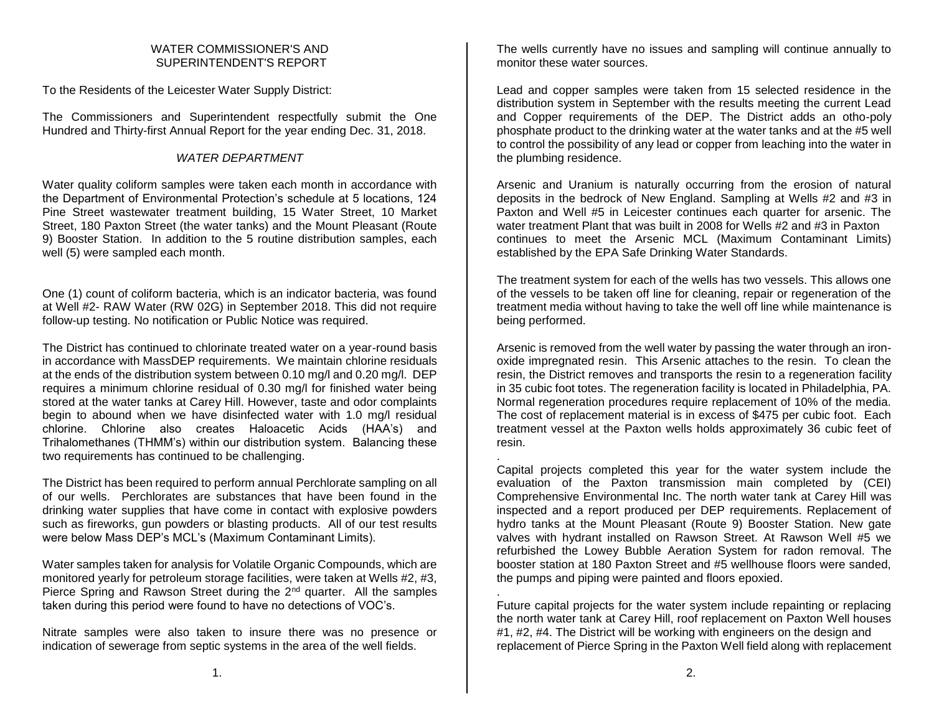### WATER COMMISSIONER'S AND SUPERINTENDENT'S REPORT

To the Residents of the Leicester Water Supply District:

The Commissioners and Superintendent respectfully submit the One Hundred and Thirty-first Annual Report for the year ending Dec. 31, 2018.

# *WATER DEPARTMENT*

Water quality coliform samples were taken each month in accordance with the Department of Environmental Protection's schedule at 5 locations, 124 Pine Street wastewater treatment building, 15 Water Street, 10 Market Street, 180 Paxton Street (the water tanks) and the Mount Pleasant (Route 9) Booster Station. In addition to the 5 routine distribution samples, each well (5) were sampled each month.

One (1) count of coliform bacteria, which is an indicator bacteria, was found at Well #2- RAW Water (RW 02G) in September 2018. This did not require follow-up testing. No notification or Public Notice was required.

The District has continued to chlorinate treated water on a year-round basis in accordance with MassDEP requirements. We maintain chlorine residuals at the ends of the distribution system between 0.10 mg/l and 0.20 mg/l. DEP requires a minimum chlorine residual of 0.30 mg/l for finished water being stored at the water tanks at Carey Hill. However, taste and odor complaints begin to abound when we have disinfected water with 1.0 mg/l residual chlorine. Chlorine also creates Haloacetic Acids (HAA's) and Trihalomethanes (THMM's) within our distribution system. Balancing these two requirements has continued to be challenging.

The District has been required to perform annual Perchlorate sampling on all of our wells. Perchlorates are substances that have been found in the drinking water supplies that have come in contact with explosive powders such as fireworks, gun powders or blasting products. All of our test results were below Mass DEP's MCL's (Maximum Contaminant Limits).

Water samples taken for analysis for Volatile Organic Compounds, which are monitored yearly for petroleum storage facilities, were taken at Wells #2, #3, Pierce Spring and Rawson Street during the 2<sup>nd</sup> quarter. All the samples taken during this period were found to have no detections of VOC's.

Nitrate samples were also taken to insure there was no presence or indication of sewerage from septic systems in the area of the well fields.

The wells currently have no issues and sampling will continue annually to monitor these water sources.

Lead and copper samples were taken from 15 selected residence in the distribution system in September with the results meeting the current Lead and Copper requirements of the DEP. The District adds an otho-poly phosphate product to the drinking water at the water tanks and at the #5 well to control the possibility of any lead or copper from leaching into the water in the plumbing residence.

Arsenic and Uranium is naturally occurring from the erosion of natural deposits in the bedrock of New England. Sampling at Wells #2 and #3 in Paxton and Well #5 in Leicester continues each quarter for arsenic. The water treatment Plant that was built in 2008 for Wells #2 and #3 in Paxton continues to meet the Arsenic MCL (Maximum Contaminant Limits) established by the EPA Safe Drinking Water Standards.

The treatment system for each of the wells has two vessels. This allows one of the vessels to be taken off line for cleaning, repair or regeneration of the treatment media without having to take the well off line while maintenance is being performed.

Arsenic is removed from the well water by passing the water through an ironoxide impregnated resin. This Arsenic attaches to the resin. To clean the resin, the District removes and transports the resin to a regeneration facility in 35 cubic foot totes. The regeneration facility is located in Philadelphia, PA. Normal regeneration procedures require replacement of 10% of the media. The cost of replacement material is in excess of \$475 per cubic foot. Each treatment vessel at the Paxton wells holds approximately 36 cubic feet of resin.

. Capital projects completed this year for the water system include the evaluation of the Paxton transmission main completed by (CEI) Comprehensive Environmental Inc. The north water tank at Carey Hill was inspected and a report produced per DEP requirements. Replacement of hydro tanks at the Mount Pleasant (Route 9) Booster Station. New gate valves with hydrant installed on Rawson Street. At Rawson Well #5 we refurbished the Lowey Bubble Aeration System for radon removal. The booster station at 180 Paxton Street and #5 wellhouse floors were sanded, the pumps and piping were painted and floors epoxied.

. Future capital projects for the water system include repainting or replacing the north water tank at Carey Hill, roof replacement on Paxton Well houses #1, #2, #4. The District will be working with engineers on the design and replacement of Pierce Spring in the Paxton Well field along with replacement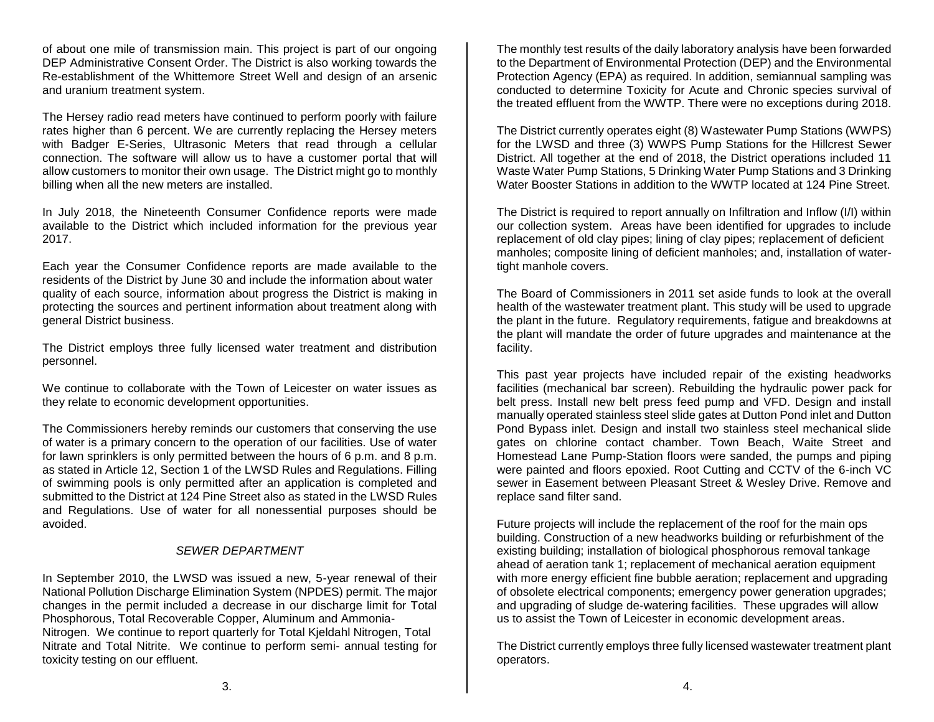of about one mile of transmission main. This project is part of our ongoing DEP Administrative Consent Order. The District is also working towards the Re-establishment of the Whittemore Street Well and design of an arsenic and uranium treatment system.

The Hersey radio read meters have continued to perform poorly with failure rates higher than 6 percent. We are currently replacing the Hersey meters with Badger E-Series, Ultrasonic Meters that read through a cellular connection. The software will allow us to have a customer portal that will allow customers to monitor their own usage. The District might go to monthly billing when all the new meters are installed.

In July 2018, the Nineteenth Consumer Confidence reports were made available to the District which included information for the previous year 2017.

Each year the Consumer Confidence reports are made available to the residents of the District by June 30 and include the information about water quality of each source, information about progress the District is making in protecting the sources and pertinent information about treatment along with general District business.

The District employs three fully licensed water treatment and distribution personnel.

We continue to collaborate with the Town of Leicester on water issues as they relate to economic development opportunities.

The Commissioners hereby reminds our customers that conserving the use of water is a primary concern to the operation of our facilities. Use of water for lawn sprinklers is only permitted between the hours of 6 p.m. and 8 p.m. as stated in Article 12, Section 1 of the LWSD Rules and Regulations. Filling of swimming pools is only permitted after an application is completed and submitted to the District at 124 Pine Street also as stated in the LWSD Rules and Regulations. Use of water for all nonessential purposes should be avoided.

#### *SEWER DEPARTMENT*

In September 2010, the LWSD was issued a new, 5-year renewal of their National Pollution Discharge Elimination System (NPDES) permit. The major changes in the permit included a decrease in our discharge limit for Total Phosphorous, Total Recoverable Copper, Aluminum and Ammonia-Nitrogen. We continue to report quarterly for Total Kjeldahl Nitrogen, Total Nitrate and Total Nitrite. We continue to perform semi- annual testing for toxicity testing on our effluent.

The monthly test results of the daily laboratory analysis have been forwarded to the Department of Environmental Protection (DEP) and the Environmental Protection Agency (EPA) as required. In addition, semiannual sampling was conducted to determine Toxicity for Acute and Chronic species survival of the treated effluent from the WWTP. There were no exceptions during 2018.

The District currently operates eight (8) Wastewater Pump Stations (WWPS) for the LWSD and three (3) WWPS Pump Stations for the Hillcrest Sewer District. All together at the end of 2018, the District operations included 11 Waste Water Pump Stations, 5 Drinking Water Pump Stations and 3 Drinking Water Booster Stations in addition to the WWTP located at 124 Pine Street.

The District is required to report annually on Infiltration and Inflow (I/I) within our collection system. Areas have been identified for upgrades to include replacement of old clay pipes; lining of clay pipes; replacement of deficient manholes; composite lining of deficient manholes; and, installation of watertight manhole covers.

The Board of Commissioners in 2011 set aside funds to look at the overall health of the wastewater treatment plant. This study will be used to upgrade the plant in the future. Regulatory requirements, fatigue and breakdowns at the plant will mandate the order of future upgrades and maintenance at the facility.

This past year projects have included repair of the existing headworks facilities (mechanical bar screen). Rebuilding the hydraulic power pack for belt press. Install new belt press feed pump and VFD. Design and install manually operated stainless steel slide gates at Dutton Pond inlet and Dutton Pond Bypass inlet. Design and install two stainless steel mechanical slide gates on chlorine contact chamber. Town Beach, Waite Street and Homestead Lane Pump-Station floors were sanded, the pumps and piping were painted and floors epoxied. Root Cutting and CCTV of the 6-inch VC sewer in Easement between Pleasant Street & Wesley Drive. Remove and replace sand filter sand.

Future projects will include the replacement of the roof for the main ops building. Construction of a new headworks building or refurbishment of the existing building; installation of biological phosphorous removal tankage ahead of aeration tank 1; replacement of mechanical aeration equipment with more energy efficient fine bubble aeration; replacement and upgrading of obsolete electrical components; emergency power generation upgrades; and upgrading of sludge de-watering facilities. These upgrades will allow us to assist the Town of Leicester in economic development areas.

The District currently employs three fully licensed wastewater treatment plant operators.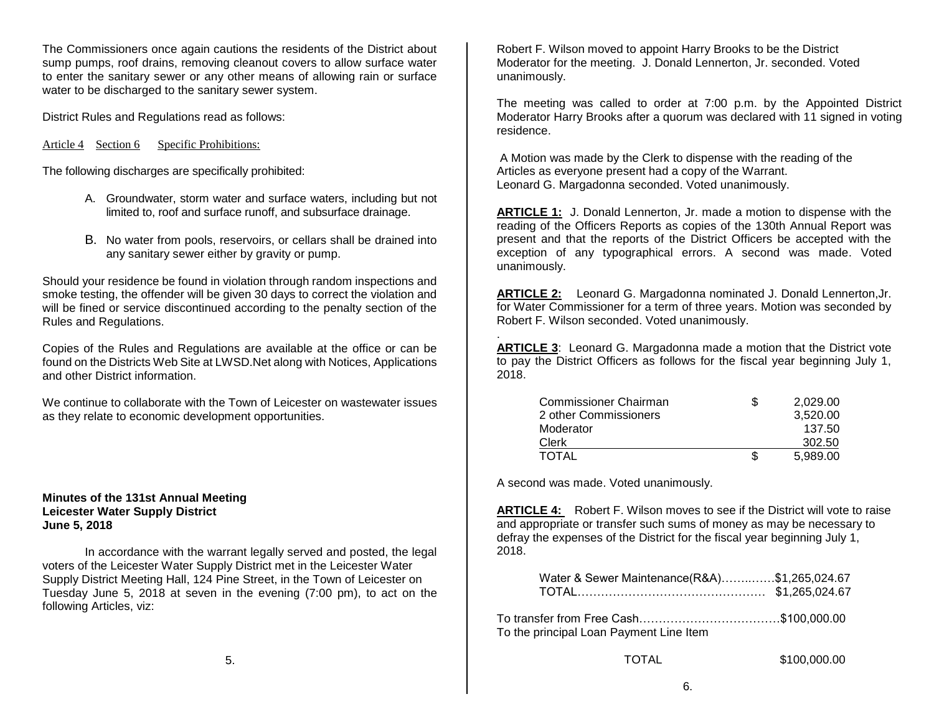The Commissioners once again cautions the residents of the District about sump pumps, roof drains, removing cleanout covers to allow surface water to enter the sanitary sewer or any other means of allowing rain or surface water to be discharged to the sanitary sewer system.

District Rules and Regulations read as follows:

Article 4 Section 6 Specific Prohibitions:

The following discharges are specifically prohibited:

- A. Groundwater, storm water and surface waters, including but not limited to, roof and surface runoff, and subsurface drainage.
- B. No water from pools, reservoirs, or cellars shall be drained into any sanitary sewer either by gravity or pump.

Should your residence be found in violation through random inspections and smoke testing, the offender will be given 30 days to correct the violation and will be fined or service discontinued according to the penalty section of the Rules and Regulations.

Copies of the Rules and Regulations are available at the office or can be found on the Districts Web Site at LWSD.Net along with Notices, Applications and other District information.

We continue to collaborate with the Town of Leicester on wastewater issues as they relate to economic development opportunities.

**Minutes of the 131st Annual Meeting Leicester Water Supply District June 5, 2018**

In accordance with the warrant legally served and posted, the legal voters of the Leicester Water Supply District met in the Leicester Water Supply District Meeting Hall, 124 Pine Street, in the Town of Leicester on Tuesday June 5, 2018 at seven in the evening (7:00 pm), to act on the following Articles, viz:

Robert F. Wilson moved to appoint Harry Brooks to be the District Moderator for the meeting. J. Donald Lennerton, Jr. seconded. Voted unanimously.

The meeting was called to order at 7:00 p.m. by the Appointed District Moderator Harry Brooks after a quorum was declared with 11 signed in voting residence.

A Motion was made by the Clerk to dispense with the reading of the Articles as everyone present had a copy of the Warrant. Leonard G. Margadonna seconded. Voted unanimously.

**ARTICLE 1:** J. Donald Lennerton, Jr. made a motion to dispense with the reading of the Officers Reports as copies of the 130th Annual Report was present and that the reports of the District Officers be accepted with the exception of any typographical errors. A second was made. Voted unanimously.

**ARTICLE 2:** Leonard G. Margadonna nominated J. Donald Lennerton,Jr. for Water Commissioner for a term of three years. Motion was seconded by Robert F. Wilson seconded. Voted unanimously.

. **ARTICLE 3**: Leonard G. Margadonna made a motion that the District vote to pay the District Officers as follows for the fiscal year beginning July 1, 2018.

| Commissioner Chairman | 2.029.00 |
|-----------------------|----------|
| 2 other Commissioners | 3,520.00 |
| Moderator             | 137.50   |
| Clerk                 | 302.50   |
| <b>TOTAL</b>          | 5.989.00 |

A second was made. Voted unanimously.

**ARTICLE 4:** Robert F. Wilson moves to see if the District will vote to raise and appropriate or transfer such sums of money as may be necessary to defray the expenses of the District for the fiscal year beginning July 1, 2018.

| Water & Sewer Maintenance(R&A)\$1,265,024.67 |                |
|----------------------------------------------|----------------|
|                                              | \$1,265,024.67 |

| To the principal Loan Payment Line Item |  |
|-----------------------------------------|--|

TOTAL \$100,000.00

6.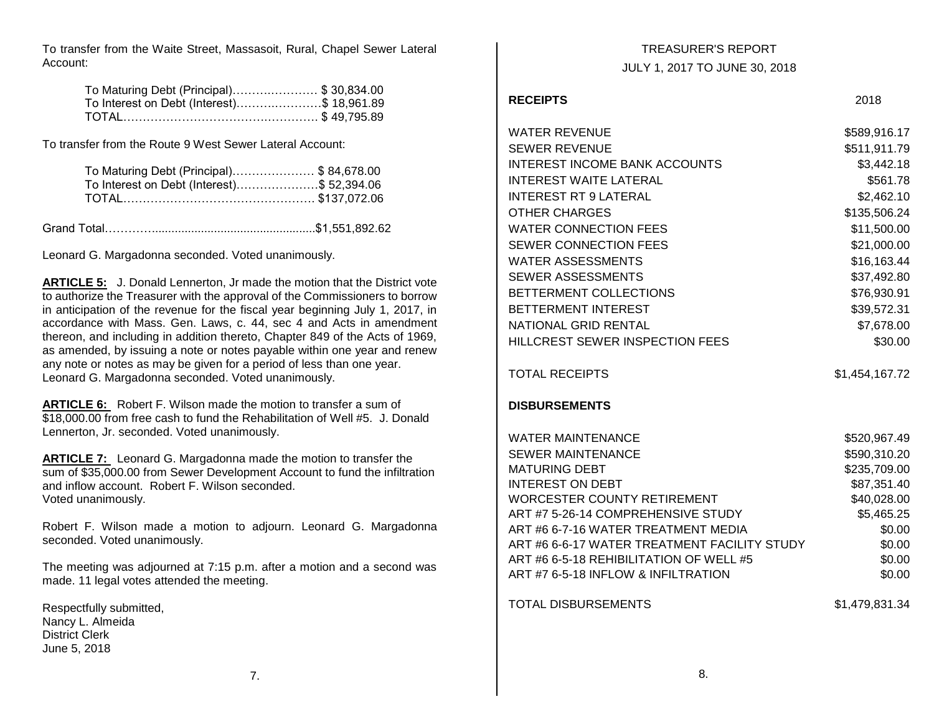To transfer from the Waite Street, Massasoit, Rural, Chapel Sewer Lateral Account:

| To Maturing Debt (Principal)\$ 30,834.00   |  |
|--------------------------------------------|--|
| To Interest on Debt (Interest)\$ 18,961.89 |  |
|                                            |  |

To transfer from the Route 9 West Sewer Lateral Account:

| To Maturing Debt (Principal)\$84,678.00    |  |
|--------------------------------------------|--|
| To Interest on Debt (Interest)\$ 52,394.06 |  |
|                                            |  |

Grand Total…………..................................................\$1,551,892.62

Leonard G. Margadonna seconded. Voted unanimously.

**ARTICLE 5:** J. Donald Lennerton, Jr made the motion that the District vote to authorize the Treasurer with the approval of the Commissioners to borrow in anticipation of the revenue for the fiscal year beginning July 1, 2017, in accordance with Mass. Gen. Laws, c. 44, sec 4 and Acts in amendment thereon, and including in addition thereto, Chapter 849 of the Acts of 1969, as amended, by issuing a note or notes payable within one year and renew any note or notes as may be given for a period of less than one year. Leonard G. Margadonna seconded. Voted unanimously.

**ARTICLE 6:** Robert F. Wilson made the motion to transfer a sum of \$18,000.00 from free cash to fund the Rehabilitation of Well #5. J. Donald Lennerton, Jr. seconded. Voted unanimously.

**ARTICLE 7:** Leonard G. Margadonna made the motion to transfer the sum of \$35,000.00 from Sewer Development Account to fund the infiltration and inflow account. Robert F. Wilson seconded. Voted unanimously.

Robert F. Wilson made a motion to adjourn. Leonard G. Margadonna seconded. Voted unanimously.

The meeting was adjourned at 7:15 p.m. after a motion and a second was made. 11 legal votes attended the meeting.

Respectfully submitted, Nancy L. Almeida District Clerk June 5, 2018

TREASURER'S REPORT JULY 1, 2017 TO JUNE 30, 2018

### **RECEIPTS** 2018

| <b>WATER REVENUE</b>                         | \$589,916.17   |
|----------------------------------------------|----------------|
| <b>SEWER REVENUE</b>                         | \$511,911.79   |
| <b>INTEREST INCOME BANK ACCOUNTS</b>         | \$3,442.18     |
| <b>INTEREST WAITE LATERAL</b>                | \$561.78       |
| <b>INTEREST RT 9 LATERAL</b>                 | \$2,462.10     |
| <b>OTHER CHARGES</b>                         | \$135,506.24   |
| <b>WATER CONNECTION FEES</b>                 | \$11,500.00    |
| SEWER CONNECTION FEES                        | \$21,000.00    |
| <b>WATER ASSESSMENTS</b>                     | \$16,163.44    |
| <b>SEWER ASSESSMENTS</b>                     | \$37,492.80    |
| BETTERMENT COLLECTIONS                       | \$76,930.91    |
| <b>BETTERMENT INTEREST</b>                   | \$39,572.31    |
| NATIONAL GRID RENTAL                         | \$7,678.00     |
| HILLCREST SEWER INSPECTION FEES              | \$30.00        |
| <b>TOTAL RECEIPTS</b>                        | \$1,454,167.72 |
| <b>DISBURSEMENTS</b>                         |                |
| <b>WATER MAINTENANCE</b>                     | \$520,967.49   |
| <b>SEWER MAINTENANCE</b>                     | \$590,310.20   |
| <b>MATURING DEBT</b>                         | \$235,709.00   |
| <b>INTEREST ON DEBT</b>                      | \$87,351.40    |
| <b>WORCESTER COUNTY RETIREMENT</b>           | \$40,028.00    |
| ART #7 5-26-14 COMPREHENSIVE STUDY           | \$5,465.25     |
| ART #6 6-7-16 WATER TREATMENT MEDIA          | \$0.00         |
| ART #6 6-6-17 WATER TREATMENT FACILITY STUDY | \$0.00         |
| ART #6 6-5-18 REHIBILITATION OF WELL #5      | \$0.00         |
| ART #7 6-5-18 INFLOW & INFILTRATION          | \$0.00         |
| <b>TOTAL DISBURSEMENTS</b>                   | \$1,479,831.34 |
|                                              |                |